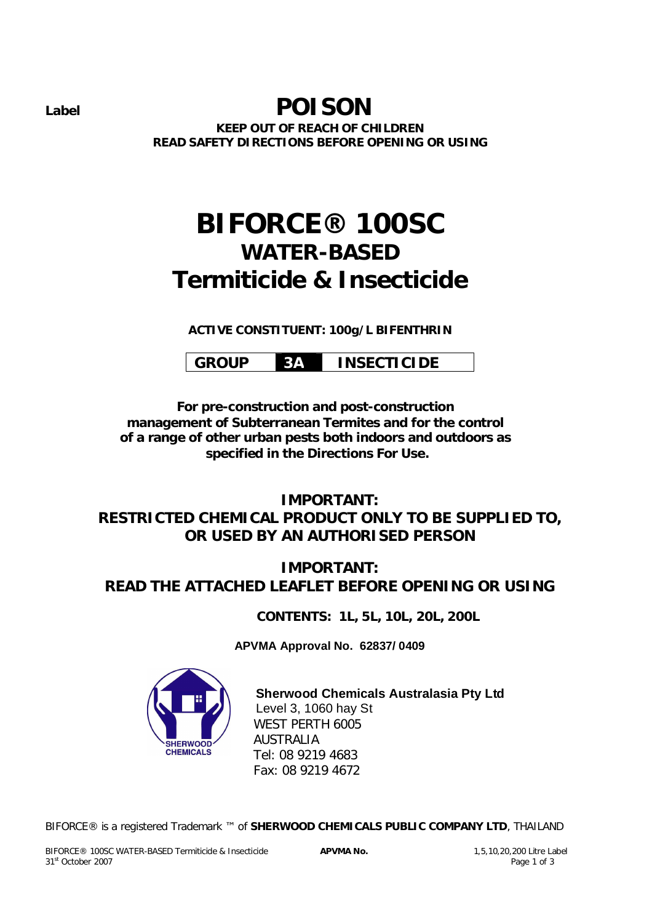*Label* **POISON KEEP OUT OF REACH OF CHILDREN READ SAFETY DIRECTIONS BEFORE OPENING OR USING**

# **BIFORCE® 100SC WATER-BASED Termiticide & Insecticide**

**ACTIVE CONSTITUENT: 100g/L BIFENTHRIN**

**GROUP 3A INSECTICIDE**

**For pre-construction and post-construction management of Subterranean Termites and for the control of a range of other urban pests both indoors and outdoors as specified in the Directions For Use.**

# **IMPORTANT: RESTRICTED CHEMICAL PRODUCT ONLY TO BE SUPPLIED TO, OR USED BY AN AUTHORISED PERSON**

**IMPORTANT: READ THE ATTACHED LEAFLET BEFORE OPENING OR USING**

**CONTENTS: 1L, 5L, 10L, 20L, 200L**

**APVMA Approval No. 62837/ 0409**



 **Sherwood Chemicals Australasia Pty Ltd** Level 3, 1060 hay St WEST PERTH 6005 AUSTRALIA Tel: 08 9219 4683 Fax: 08 9219 4672

BIFORCE® is a registered Trademark ™ of **SHERWOOD CHEMICALS PUBLIC COMPANY LTD**, THAILAND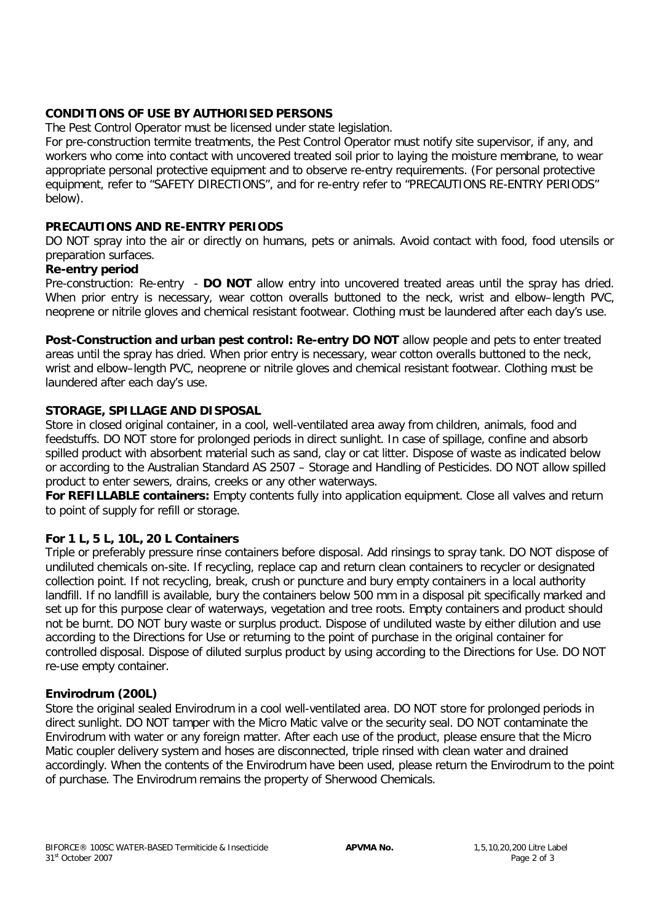# **CONDITIONS OF USE BY AUTHORISED PERSONS**

The Pest Control Operator must be licensed under state legislation.

For pre-construction termite treatments, the Pest Control Operator must notify site supervisor, if any, and workers who come into contact with uncovered treated soil prior to laying the moisture membrane, to wear appropriate personal protective equipment and to observe re-entry requirements. (For personal protective equipment, refer to "SAFETY DIRECTIONS", and for re-entry refer to "PRECAUTIONS RE-ENTRY PERIODS" below).

## **PRECAUTIONS AND RE-ENTRY PERIODS**

DO NOT spray into the air or directly on humans, pets or animals. Avoid contact with food, food utensils or preparation surfaces.

## **Re-entry period**

*Pre-construction:* Re-entry - **DO NOT** allow entry into uncovered treated areas until the spray has dried. When prior entry is necessary, wear cotton overalls buttoned to the neck, wrist and elbow–length PVC, neoprene or nitrile gloves and chemical resistant footwear. Clothing must be laundered after each day's use.

*Post-Construction and urban pest control:* **Re-entry DO NOT** allow people and pets to enter treated areas until the spray has dried. When prior entry is necessary, wear cotton overalls buttoned to the neck, wrist and elbow–length PVC, neoprene or nitrile gloves and chemical resistant footwear. Clothing must be laundered after each day's use.

## **STORAGE, SPILLAGE AND DISPOSAL**

Store in closed original container, in a cool, well-ventilated area away from children, animals, food and feedstuffs. DO NOT store for prolonged periods in direct sunlight. In case of spillage, confine and absorb spilled product with absorbent material such as sand, clay or cat litter. Dispose of waste as indicated below or according to the Australian Standard AS 2507 – Storage and Handling of Pesticides. DO NOT allow spilled product to enter sewers, drains, creeks or any other waterways.

**For REFILLABLE containers:** Empty contents fully into application equipment. Close all valves and return to point of supply for refill or storage.

## **For 1 L, 5 L, 10L, 20 L Containers**

Triple or preferably pressure rinse containers before disposal. Add rinsings to spray tank. DO NOT dispose of undiluted chemicals on-site. If recycling, replace cap and return clean containers to recycler or designated collection point. If not recycling, break, crush or puncture and bury empty containers in a local authority landfill. If no landfill is available, bury the containers below 500 mm in a disposal pit specifically marked and set up for this purpose clear of waterways, vegetation and tree roots. Empty containers and product should not be burnt. DO NOT bury waste or surplus product. Dispose of undiluted waste by either dilution and use according to the Directions for Use or returning to the point of purchase in the original container for controlled disposal. Dispose of diluted surplus product by using according to the Directions for Use. DO NOT re-use empty container.

## **Envirodrum (200L)**

Store the original sealed Envirodrum in a cool well-ventilated area. DO NOT store for prolonged periods in direct sunlight. DO NOT tamper with the Micro Matic valve or the security seal. DO NOT contaminate the Envirodrum with water or any foreign matter. After each use of the product, please ensure that the Micro Matic coupler delivery system and hoses are disconnected, triple rinsed with clean water and drained accordingly. When the contents of the Envirodrum have been used, please return the Envirodrum to the point of purchase. The Envirodrum remains the property of Sherwood Chemicals.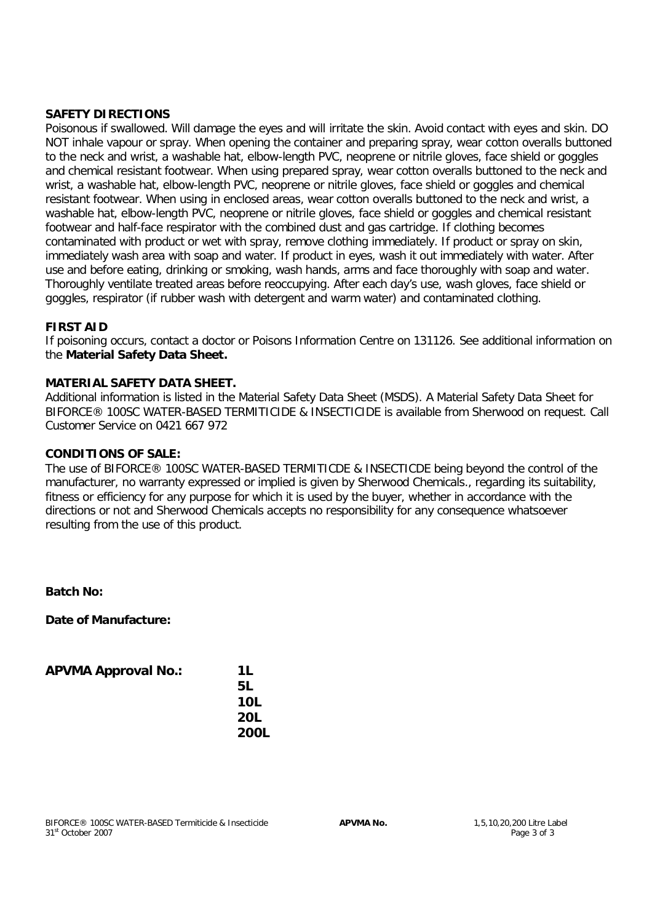## **SAFETY DIRECTIONS**

Poisonous if swallowed. Will damage the eyes and will irritate the skin. Avoid contact with eyes and skin. DO NOT inhale vapour or spray. When opening the container and preparing spray, wear cotton overalls buttoned to the neck and wrist, a washable hat, elbow-length PVC, neoprene or nitrile gloves, face shield or goggles and chemical resistant footwear. When using prepared spray, wear cotton overalls buttoned to the neck and wrist, a washable hat, elbow-length PVC, neoprene or nitrile gloves, face shield or goggles and chemical resistant footwear. When using in enclosed areas, wear cotton overalls buttoned to the neck and wrist, a washable hat, elbow-length PVC, neoprene or nitrile gloves, face shield or goggles and chemical resistant footwear and half-face respirator with the combined dust and gas cartridge. If clothing becomes contaminated with product or wet with spray, remove clothing immediately. If product or spray on skin, immediately wash area with soap and water. If product in eyes, wash it out immediately with water. After use and before eating, drinking or smoking, wash hands, arms and face thoroughly with soap and water. Thoroughly ventilate treated areas before reoccupying. After each day's use, wash gloves, face shield or goggles, respirator (if rubber wash with detergent and warm water) and contaminated clothing.

## **FIRST AID**

If poisoning occurs, contact a doctor or Poisons Information Centre on 131126. See additional information on the **Material Safety Data Sheet.**

## **MATERIAL SAFETY DATA SHEET.**

Additional information is listed in the Material Safety Data Sheet (MSDS). A Material Safety Data Sheet for BIFORCE® 100SC WATER-BASED TERMITICIDE & INSECTICIDE is available from Sherwood on request. Call Customer Service on 0421 667 972

## **CONDITIONS OF SALE:**

The use of BIFORCE® 100SC WATER-BASED TERMITICDE & INSECTICDE being beyond the control of the manufacturer, no warranty expressed or implied is given by Sherwood Chemicals., regarding its suitability, fitness or efficiency for any purpose for which it is used by the buyer, whether in accordance with the directions or not and Sherwood Chemicals accepts no responsibility for any consequence whatsoever resulting from the use of this product.

**Batch No:**

**Date of Manufacture:**

| <b>APVMA Approval No.:</b> | 1L          |
|----------------------------|-------------|
|                            | <b>5L</b>   |
|                            | 10L         |
|                            | <b>20L</b>  |
|                            | <b>200L</b> |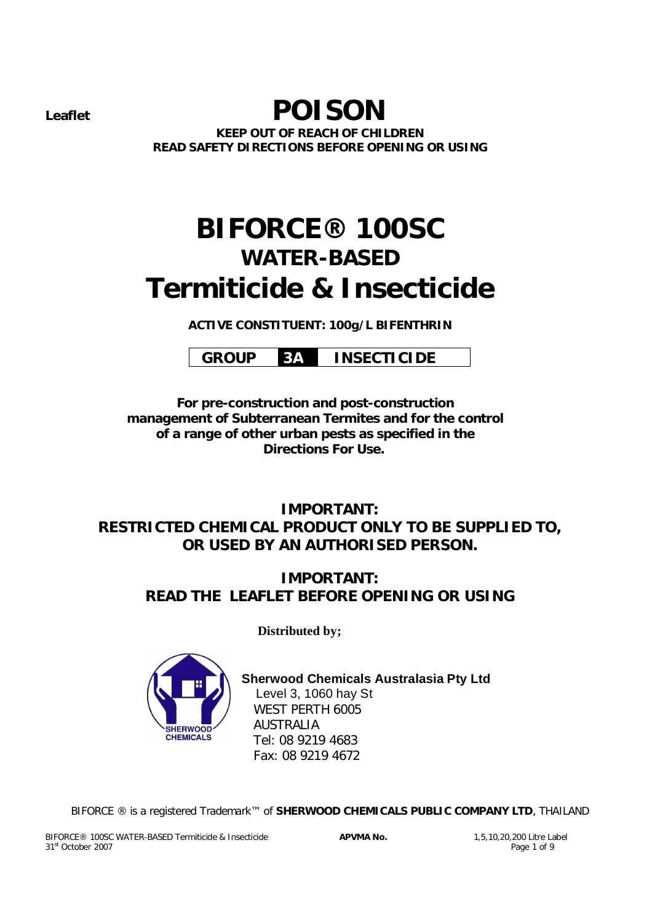# *Leaflet* **POISON**

**KEEP OUT OF REACH OF CHILDREN READ SAFETY DIRECTIONS BEFORE OPENING OR USING**

# **BIFORCE® 100SC WATER-BASED Termiticide & Insecticide**

**ACTIVE CONSTITUENT: 100g/L BIFENTHRIN**

 **GROUP 3A INSECTICIDE**

**For pre-construction and post-construction management of Subterranean Termites and for the control of a range of other urban pests as specified in the Directions For Use.**

**IMPORTANT: RESTRICTED CHEMICAL PRODUCT ONLY TO BE SUPPLIED TO, OR USED BY AN AUTHORISED PERSON.**

# **IMPORTANT: READ THE LEAFLET BEFORE OPENING OR USING**

**Distributed by;**



**Sherwood Chemicals Australasia Pty Ltd** Level 3, 1060 hay St WEST PERTH 6005 AUSTRALIA Tel: 08 9219 4683 Fax: 08 9219 4672

BIFORCE ® is a registered Trademark™ of **SHERWOOD CHEMICALS PUBLIC COMPANY LTD**, THAILAND

BIFORCE® 100SC WATER-BASED Termiticide & Insecticide **APVMA No.** 1,5,10,20,200 Litre Label 31st October 2007 Page 1 of 9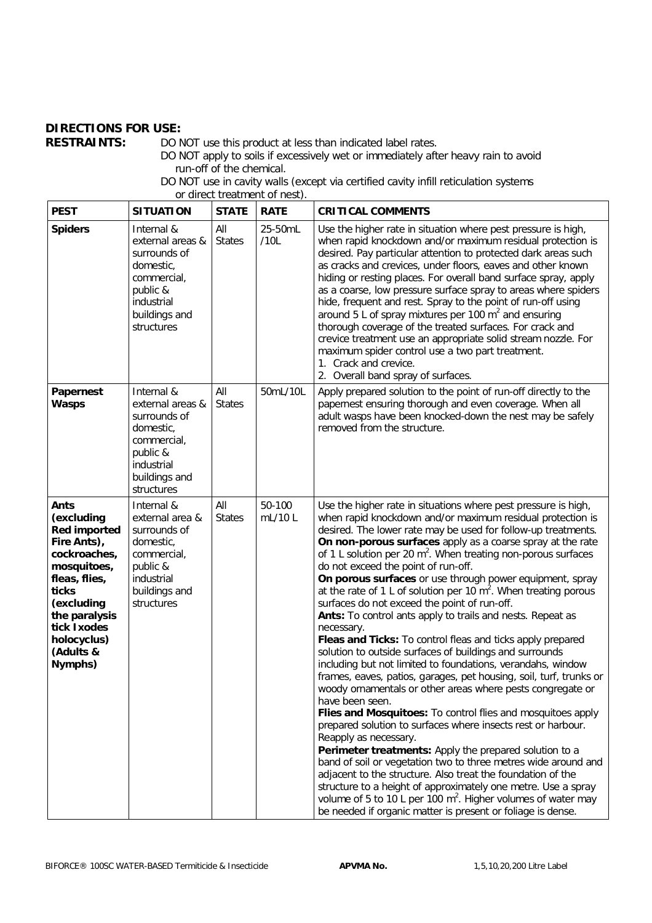# **DIRECTIONS FOR USE:**

**RESTRAINTS:** DO NOT use this product at less than indicated label rates.

DO NOT apply to soils if excessively wet or immediately after heavy rain to avoid run-off of the chemical.

DO NOT use in cavity walls (except via certified cavity infill reticulation systems or direct treatment of nest).

| <b>PEST</b>                                                                                                                                                                                             | <b>SITUATION</b>                                                                                                                    | <b>STATE</b>         | <b>RATE</b>       | <b>CRITICAL COMMENTS</b>                                                                                                                                                                                                                                                                                                                                                                                                                                                                                                                                                                                                                                                                                                                                                                                                                                                                                                                                                                                                                                                                                                                                                                                                                                                                                                                                                                                                                                                                                                                  |
|---------------------------------------------------------------------------------------------------------------------------------------------------------------------------------------------------------|-------------------------------------------------------------------------------------------------------------------------------------|----------------------|-------------------|-------------------------------------------------------------------------------------------------------------------------------------------------------------------------------------------------------------------------------------------------------------------------------------------------------------------------------------------------------------------------------------------------------------------------------------------------------------------------------------------------------------------------------------------------------------------------------------------------------------------------------------------------------------------------------------------------------------------------------------------------------------------------------------------------------------------------------------------------------------------------------------------------------------------------------------------------------------------------------------------------------------------------------------------------------------------------------------------------------------------------------------------------------------------------------------------------------------------------------------------------------------------------------------------------------------------------------------------------------------------------------------------------------------------------------------------------------------------------------------------------------------------------------------------|
| <b>Spiders</b>                                                                                                                                                                                          | Internal &<br>external areas &<br>surrounds of<br>domestic,<br>commercial,<br>public &<br>industrial<br>buildings and<br>structures | All<br><b>States</b> | 25-50mL<br>/10L   | Use the higher rate in situation where pest pressure is high,<br>when rapid knockdown and/or maximum residual protection is<br>desired. Pay particular attention to protected dark areas such<br>as cracks and crevices, under floors, eaves and other known<br>hiding or resting places. For overall band surface spray, apply<br>as a coarse, low pressure surface spray to areas where spiders<br>hide, frequent and rest. Spray to the point of run-off using<br>around 5 L of spray mixtures per 100 $m2$ and ensuring<br>thorough coverage of the treated surfaces. For crack and<br>crevice treatment use an appropriate solid stream nozzle. For<br>maximum spider control use a two part treatment.<br>1. Crack and crevice.<br>2. Overall band spray of surfaces.                                                                                                                                                                                                                                                                                                                                                                                                                                                                                                                                                                                                                                                                                                                                                               |
| Papernest<br><b>Wasps</b>                                                                                                                                                                               | Internal &<br>external areas &<br>surrounds of<br>domestic,<br>commercial,<br>public &<br>industrial<br>buildings and<br>structures | All<br><b>States</b> | 50mL/10L          | Apply prepared solution to the point of run-off directly to the<br>papernest ensuring thorough and even coverage. When all<br>adult wasps have been knocked-down the nest may be safely<br>removed from the structure.                                                                                                                                                                                                                                                                                                                                                                                                                                                                                                                                                                                                                                                                                                                                                                                                                                                                                                                                                                                                                                                                                                                                                                                                                                                                                                                    |
| Ants<br>(excluding<br><b>Red imported</b><br>Fire Ants),<br>cockroaches,<br>mosquitoes,<br>fleas, flies,<br>ticks<br>(excluding<br>the paralysis<br>tick I xodes<br>holocyclus)<br>(Adults &<br>Nymphs) | Internal &<br>external area &<br>surrounds of<br>domestic,<br>commercial,<br>public &<br>industrial<br>buildings and<br>structures  | All<br><b>States</b> | 50-100<br>mL/10 L | Use the higher rate in situations where pest pressure is high,<br>when rapid knockdown and/or maximum residual protection is<br>desired. The lower rate may be used for follow-up treatments.<br>On non-porous surfaces apply as a coarse spray at the rate<br>of 1 L solution per 20 $m^2$ . When treating non-porous surfaces<br>do not exceed the point of run-off.<br>On porous surfaces or use through power equipment, spray<br>at the rate of 1 L of solution per 10 $m^2$ . When treating porous<br>surfaces do not exceed the point of run-off.<br>Ants: To control ants apply to trails and nests. Repeat as<br>necessary.<br>Fleas and Ticks: To control fleas and ticks apply prepared<br>solution to outside surfaces of buildings and surrounds<br>including but not limited to foundations, verandahs, window<br>frames, eaves, patios, garages, pet housing, soil, turf, trunks or<br>woody ornamentals or other areas where pests congregate or<br>have been seen.<br>Flies and Mosquitoes: To control flies and mosquitoes apply<br>prepared solution to surfaces where insects rest or harbour.<br>Reapply as necessary.<br>Perimeter treatments: Apply the prepared solution to a<br>band of soil or vegetation two to three metres wide around and<br>adjacent to the structure. Also treat the foundation of the<br>structure to a height of approximately one metre. Use a spray<br>volume of 5 to 10 L per 100 $m^2$ . Higher volumes of water may<br>be needed if organic matter is present or foliage is dense. |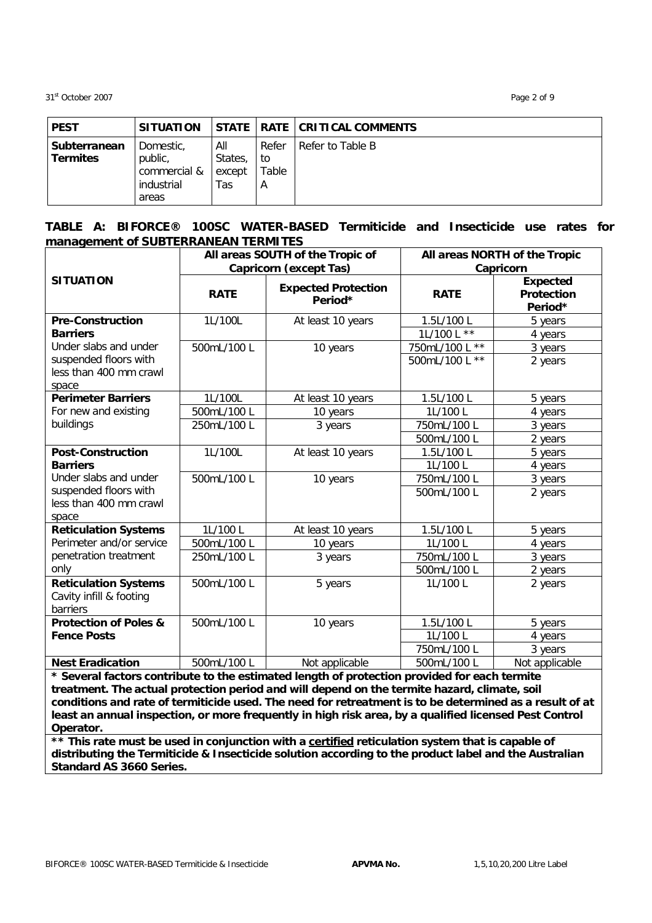31<sup>st</sup> October 2007 Page 2 of 9

| <b>PEST</b>                     | <b>SITUATION</b>                                            |                                 |                           | STATE   RATE   CRITICAL COMMENTS |
|---------------------------------|-------------------------------------------------------------|---------------------------------|---------------------------|----------------------------------|
| Subterranean<br><b>Termites</b> | Domestic.<br>public,<br>commercial &<br>industrial<br>areas | All<br>States.<br>except<br>Tas | Refer<br>to<br>Table<br>A | Refer to Table B                 |

## **TABLE A: BIFORCE® 100SC WATER-BASED Termiticide and Insecticide use rates for management of SUBTERRANEAN TERMITES**

|                                  | All areas SOUTH of the Tropic of                            |                   | All areas NORTH of the Tropic |                 |  |
|----------------------------------|-------------------------------------------------------------|-------------------|-------------------------------|-----------------|--|
|                                  | <b>Capricorn (except Tas)</b><br><b>Expected Protection</b> |                   | Capricorn                     |                 |  |
| <b>SITUATION</b>                 |                                                             |                   |                               | <b>Expected</b> |  |
|                                  | <b>RATE</b>                                                 | Period*           | <b>RATE</b>                   | Protection      |  |
|                                  |                                                             |                   |                               | Period*         |  |
| <b>Pre-Construction</b>          | 1L/100L                                                     | At least 10 years | 1.5L/100L                     | 5 years         |  |
| <b>Barriers</b>                  |                                                             |                   | 1L/100 L **                   | 4 years         |  |
| Under slabs and under            | 500mL/100 L                                                 | 10 years          | $\star\star$<br>750mL/100 L   | 3 years         |  |
| suspended floors with            |                                                             |                   | 500mL/100 L<br>$\star\star$   | 2 years         |  |
| less than 400 mm crawl           |                                                             |                   |                               |                 |  |
| space                            |                                                             |                   |                               |                 |  |
| <b>Perimeter Barriers</b>        | 1L/100L                                                     | At least 10 years | 1.5L/100 L                    | 5 years         |  |
| For new and existing             | 500mL/100 L                                                 | 10 years          | 1L/100L                       | 4 years         |  |
| buildings                        | 250mL/100 L                                                 | 3 years           | 750mL/100 L                   | 3 years         |  |
|                                  |                                                             |                   | 500mL/100 L                   | 2 years         |  |
| <b>Post-Construction</b>         | 1L/100L                                                     | At least 10 years | 1.5L/100 L                    | 5 years         |  |
| <b>Barriers</b>                  |                                                             |                   | 1L/100L                       | 4 years         |  |
| Under slabs and under            | 500mL/100 L                                                 | 10 years          | 750mL/100 L                   | 3 years         |  |
| suspended floors with            |                                                             |                   | 500mL/100 L                   | 2 years         |  |
| less than 400 mm crawl           |                                                             |                   |                               |                 |  |
| space                            |                                                             |                   |                               |                 |  |
| <b>Reticulation Systems</b>      | 1L/100L                                                     | At least 10 years | 1.5L/100L                     | 5 years         |  |
| Perimeter and/or service         | 500mL/100 L                                                 | 10 years          | 1L/100 L                      | 4 years         |  |
| penetration treatment            | 250mL/100 L                                                 | 3 years           | 750mL/100 L                   | 3 years         |  |
| only                             |                                                             |                   | 500mL/100 L                   | 2 years         |  |
| <b>Reticulation Systems</b>      | 500mL/100 L                                                 | 5 years           | 1L/100L                       | 2 years         |  |
| Cavity infill & footing          |                                                             |                   |                               |                 |  |
| barriers                         |                                                             |                   |                               |                 |  |
| <b>Protection of Poles &amp;</b> | 500mL/100 L                                                 | 10 years          | 1.5L/100 L                    | 5 years         |  |
| <b>Fence Posts</b>               |                                                             |                   | 1L/100L                       | 4 years         |  |
|                                  |                                                             |                   | 750mL/100 L                   | 3 years         |  |
| <b>Nest Eradication</b>          | 500mL/100 L                                                 | Not applicable    | 500mL/100 L                   | Not applicable  |  |

**\* Several factors contribute to the estimated length of protection provided for each termite treatment. The actual protection period and will depend on the termite hazard, climate, soil conditions and rate of termiticide used. The need for retreatment is to be determined as a result of at least an annual inspection, or more frequently in high risk area, by a qualified licensed Pest Control Operator.**

\*\* This rate must be used in conjunction with a certified reticulation system that is capable of **distributing the Termiticide & Insecticide solution according to the product label and the Australian Standard AS 3660 Series.**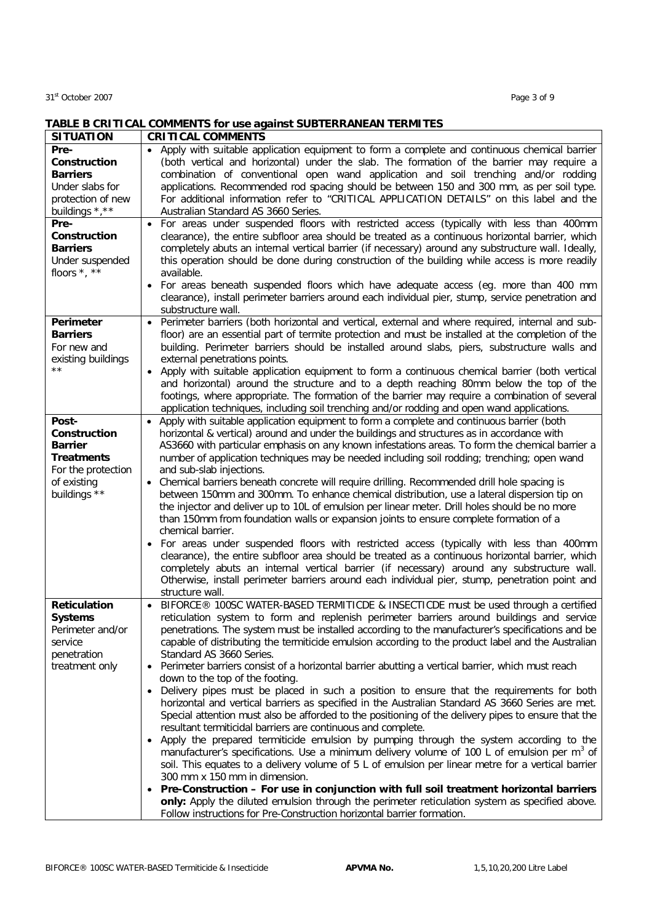## 31st October 2007 Page 3 of 9

# **TABLE B CRITICAL COMMENTS for use against SUBTERRANEAN TERMITES**

| <b>SITUATION</b>                                                                                                  | <b>CRITICAL COMMENTS</b>                                                                                                                                                                                                                                                                                                                                                                                                                                                                                                                                                                                                                                                                                                                                                                                                                                                                                                                                                                                                                                                                                                                                                                                                                                                                                                                                                                                                                                                                                                                            |
|-------------------------------------------------------------------------------------------------------------------|-----------------------------------------------------------------------------------------------------------------------------------------------------------------------------------------------------------------------------------------------------------------------------------------------------------------------------------------------------------------------------------------------------------------------------------------------------------------------------------------------------------------------------------------------------------------------------------------------------------------------------------------------------------------------------------------------------------------------------------------------------------------------------------------------------------------------------------------------------------------------------------------------------------------------------------------------------------------------------------------------------------------------------------------------------------------------------------------------------------------------------------------------------------------------------------------------------------------------------------------------------------------------------------------------------------------------------------------------------------------------------------------------------------------------------------------------------------------------------------------------------------------------------------------------------|
| Pre-<br>Construction<br><b>Barriers</b><br>Under slabs for<br>protection of new<br>buildings *, * *               | • Apply with suitable application equipment to form a complete and continuous chemical barrier<br>(both vertical and horizontal) under the slab. The formation of the barrier may require a<br>combination of conventional open wand application and soil trenching and/or rodding<br>applications. Recommended rod spacing should be between 150 and 300 mm, as per soil type.<br>For additional information refer to "CRITICAL APPLICATION DETAILS" on this label and the<br>Australian Standard AS 3660 Series.                                                                                                                                                                                                                                                                                                                                                                                                                                                                                                                                                                                                                                                                                                                                                                                                                                                                                                                                                                                                                                  |
| Pre-<br>Construction<br><b>Barriers</b><br>Under suspended<br>floors $\overrightarrow{r}$ , $\overrightarrow{**}$ | • For areas under suspended floors with restricted access (typically with less than 400mm<br>clearance), the entire subfloor area should be treated as a continuous horizontal barrier, which<br>completely abuts an internal vertical barrier (if necessary) around any substructure wall. Ideally,<br>this operation should be done during construction of the building while access is more readily<br>available.<br>• For areas beneath suspended floors which have adequate access (eg. more than 400 mm<br>clearance), install perimeter barriers around each individual pier, stump, service penetration and<br>substructure wall.                                                                                                                                                                                                                                                                                                                                                                                                                                                                                                                                                                                                                                                                                                                                                                                                                                                                                                           |
| Perimeter<br><b>Barriers</b><br>For new and<br>existing buildings<br>$\star\star$                                 | • Perimeter barriers (both horizontal and vertical, external and where required, internal and sub-<br>floor) are an essential part of termite protection and must be installed at the completion of the<br>building. Perimeter barriers should be installed around slabs, piers, substructure walls and<br>external penetrations points.<br>• Apply with suitable application equipment to form a continuous chemical barrier (both vertical<br>and horizontal) around the structure and to a depth reaching 80mm below the top of the<br>footings, where appropriate. The formation of the barrier may require a combination of several<br>application techniques, including soil trenching and/or rodding and open wand applications.                                                                                                                                                                                                                                                                                                                                                                                                                                                                                                                                                                                                                                                                                                                                                                                                             |
| Post-<br>Construction<br><b>Barrier</b><br><b>Treatments</b><br>For the protection<br>of existing<br>buildings ** | • Apply with suitable application equipment to form a complete and continuous barrier (both<br>horizontal & vertical) around and under the buildings and structures as in accordance with<br>AS3660 with particular emphasis on any known infestations areas. To form the chemical barrier a<br>number of application techniques may be needed including soil rodding; trenching; open wand<br>and sub-slab injections.<br>• Chemical barriers beneath concrete will require drilling. Recommended drill hole spacing is<br>between 150mm and 300mm. To enhance chemical distribution, use a lateral dispersion tip on<br>the injector and deliver up to 10L of emulsion per linear meter. Drill holes should be no more<br>than 150mm from foundation walls or expansion joints to ensure complete formation of a<br>chemical barrier.<br>• For areas under suspended floors with restricted access (typically with less than 400mm<br>clearance), the entire subfloor area should be treated as a continuous horizontal barrier, which<br>completely abuts an internal vertical barrier (if necessary) around any substructure wall.<br>Otherwise, install perimeter barriers around each individual pier, stump, penetration point and<br>structure wall.                                                                                                                                                                                                                                                                                        |
| <b>Reticulation</b><br><b>Systems</b><br>Perimeter and/or<br>service<br>penetration<br>treatment only             | BIFORCE® 100SC WATER-BASED TERMITICDE & INSECTICDE must be used through a certified<br>reticulation system to form and replenish perimeter barriers around buildings and service<br>penetrations. The system must be installed according to the manufacturer's specifications and be<br>capable of distributing the termiticide emulsion according to the product label and the Australian<br>Standard AS 3660 Series.<br>• Perimeter barriers consist of a horizontal barrier abutting a vertical barrier, which must reach<br>down to the top of the footing.<br>• Delivery pipes must be placed in such a position to ensure that the requirements for both<br>horizontal and vertical barriers as specified in the Australian Standard AS 3660 Series are met.<br>Special attention must also be afforded to the positioning of the delivery pipes to ensure that the<br>resultant termiticidal barriers are continuous and complete.<br>• Apply the prepared termiticide emulsion by pumping through the system according to the<br>manufacturer's specifications. Use a minimum delivery volume of 100 L of emulsion per $m3$ of<br>soil. This equates to a delivery volume of 5 L of emulsion per linear metre for a vertical barrier<br>300 mm x 150 mm in dimension.<br>Pre-Construction - For use in conjunction with full soil treatment horizontal barriers<br>only: Apply the diluted emulsion through the perimeter reticulation system as specified above.<br>Follow instructions for Pre-Construction horizontal barrier formation. |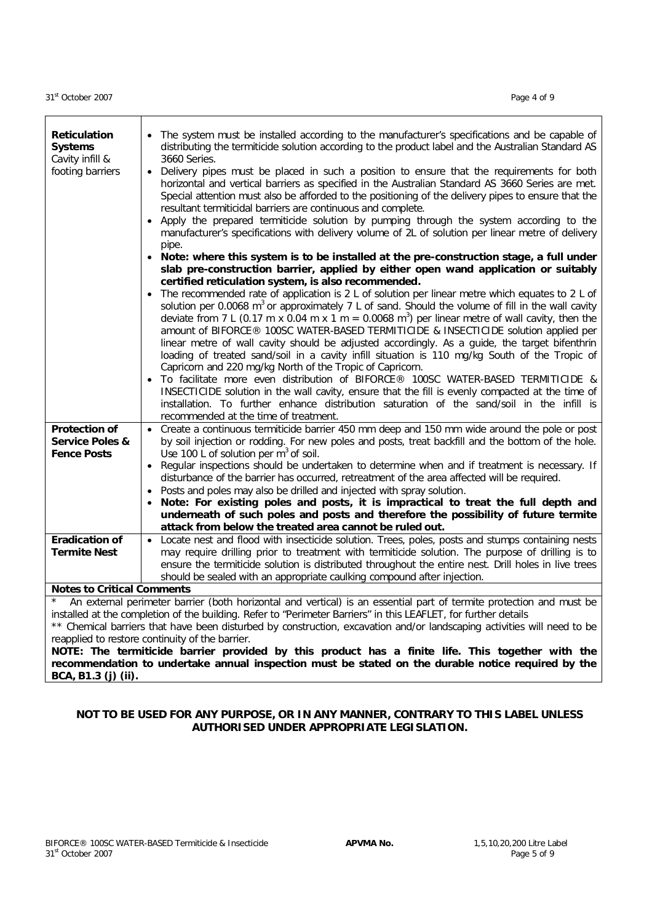| <b>Reticulation</b><br><b>Systems</b><br>Cavity infill &<br>footing barriers                     | • The system must be installed according to the manufacturer's specifications and be capable of<br>distributing the termiticide solution according to the product label and the Australian Standard AS<br>3660 Series.<br>• Delivery pipes must be placed in such a position to ensure that the requirements for both<br>horizontal and vertical barriers as specified in the Australian Standard AS 3660 Series are met.<br>Special attention must also be afforded to the positioning of the delivery pipes to ensure that the<br>resultant termiticidal barriers are continuous and complete.<br>• Apply the prepared termiticide solution by pumping through the system according to the<br>manufacturer's specifications with delivery volume of 2L of solution per linear metre of delivery<br>pipe.<br>• Note: where this system is to be installed at the pre-construction stage, a full under<br>slab pre-construction barrier, applied by either open wand application or suitably<br>certified reticulation system, is also recommended.<br>The recommended rate of application is 2 L of solution per linear metre which equates to 2 L of<br>solution per 0.0068 $m3$ or approximately 7 L of sand. Should the volume of fill in the wall cavity<br>deviate from 7 L (0.17 m x 0.04 m x 1 m = 0.0068 m <sup>3</sup> ) per linear metre of wall cavity, then the<br>amount of BIFORCE® 100SC WATER-BASED TERMITICIDE & INSECTICIDE solution applied per<br>linear metre of wall cavity should be adjusted accordingly. As a guide, the target bifenthrin<br>loading of treated sand/soil in a cavity infill situation is 110 mg/kg South of the Tropic of<br>Capricorn and 220 mg/kg North of the Tropic of Capricorn.<br>To facilitate more even distribution of BIFORCE® 100SC WATER-BASED TERMITICIDE &<br>INSECTICIDE solution in the wall cavity, ensure that the fill is evenly compacted at the time of<br>installation. To further enhance distribution saturation of the sand/soil in the infill is |  |  |  |
|--------------------------------------------------------------------------------------------------|--------------------------------------------------------------------------------------------------------------------------------------------------------------------------------------------------------------------------------------------------------------------------------------------------------------------------------------------------------------------------------------------------------------------------------------------------------------------------------------------------------------------------------------------------------------------------------------------------------------------------------------------------------------------------------------------------------------------------------------------------------------------------------------------------------------------------------------------------------------------------------------------------------------------------------------------------------------------------------------------------------------------------------------------------------------------------------------------------------------------------------------------------------------------------------------------------------------------------------------------------------------------------------------------------------------------------------------------------------------------------------------------------------------------------------------------------------------------------------------------------------------------------------------------------------------------------------------------------------------------------------------------------------------------------------------------------------------------------------------------------------------------------------------------------------------------------------------------------------------------------------------------------------------------------------------------------------------------------------------------------------------------------|--|--|--|
|                                                                                                  | recommended at the time of treatment.                                                                                                                                                                                                                                                                                                                                                                                                                                                                                                                                                                                                                                                                                                                                                                                                                                                                                                                                                                                                                                                                                                                                                                                                                                                                                                                                                                                                                                                                                                                                                                                                                                                                                                                                                                                                                                                                                                                                                                                    |  |  |  |
| <b>Protection of</b>                                                                             | • Create a continuous termiticide barrier 450 mm deep and 150 mm wide around the pole or post                                                                                                                                                                                                                                                                                                                                                                                                                                                                                                                                                                                                                                                                                                                                                                                                                                                                                                                                                                                                                                                                                                                                                                                                                                                                                                                                                                                                                                                                                                                                                                                                                                                                                                                                                                                                                                                                                                                            |  |  |  |
| Service Poles &                                                                                  | by soil injection or rodding. For new poles and posts, treat backfill and the bottom of the hole.                                                                                                                                                                                                                                                                                                                                                                                                                                                                                                                                                                                                                                                                                                                                                                                                                                                                                                                                                                                                                                                                                                                                                                                                                                                                                                                                                                                                                                                                                                                                                                                                                                                                                                                                                                                                                                                                                                                        |  |  |  |
| <b>Fence Posts</b>                                                                               | Use 100 L of solution per $m^3$ of soil.                                                                                                                                                                                                                                                                                                                                                                                                                                                                                                                                                                                                                                                                                                                                                                                                                                                                                                                                                                                                                                                                                                                                                                                                                                                                                                                                                                                                                                                                                                                                                                                                                                                                                                                                                                                                                                                                                                                                                                                 |  |  |  |
|                                                                                                  | • Regular inspections should be undertaken to determine when and if treatment is necessary. If                                                                                                                                                                                                                                                                                                                                                                                                                                                                                                                                                                                                                                                                                                                                                                                                                                                                                                                                                                                                                                                                                                                                                                                                                                                                                                                                                                                                                                                                                                                                                                                                                                                                                                                                                                                                                                                                                                                           |  |  |  |
|                                                                                                  | disturbance of the barrier has occurred, retreatment of the area affected will be required.<br>• Posts and poles may also be drilled and injected with spray solution.                                                                                                                                                                                                                                                                                                                                                                                                                                                                                                                                                                                                                                                                                                                                                                                                                                                                                                                                                                                                                                                                                                                                                                                                                                                                                                                                                                                                                                                                                                                                                                                                                                                                                                                                                                                                                                                   |  |  |  |
|                                                                                                  | Note: For existing poles and posts, it is impractical to treat the full depth and                                                                                                                                                                                                                                                                                                                                                                                                                                                                                                                                                                                                                                                                                                                                                                                                                                                                                                                                                                                                                                                                                                                                                                                                                                                                                                                                                                                                                                                                                                                                                                                                                                                                                                                                                                                                                                                                                                                                        |  |  |  |
|                                                                                                  | underneath of such poles and posts and therefore the possibility of future termite                                                                                                                                                                                                                                                                                                                                                                                                                                                                                                                                                                                                                                                                                                                                                                                                                                                                                                                                                                                                                                                                                                                                                                                                                                                                                                                                                                                                                                                                                                                                                                                                                                                                                                                                                                                                                                                                                                                                       |  |  |  |
|                                                                                                  | attack from below the treated area cannot be ruled out.                                                                                                                                                                                                                                                                                                                                                                                                                                                                                                                                                                                                                                                                                                                                                                                                                                                                                                                                                                                                                                                                                                                                                                                                                                                                                                                                                                                                                                                                                                                                                                                                                                                                                                                                                                                                                                                                                                                                                                  |  |  |  |
| <b>Eradication of</b>                                                                            | • Locate nest and flood with insecticide solution. Trees, poles, posts and stumps containing nests                                                                                                                                                                                                                                                                                                                                                                                                                                                                                                                                                                                                                                                                                                                                                                                                                                                                                                                                                                                                                                                                                                                                                                                                                                                                                                                                                                                                                                                                                                                                                                                                                                                                                                                                                                                                                                                                                                                       |  |  |  |
| <b>Termite Nest</b>                                                                              | may require drilling prior to treatment with termiticide solution. The purpose of drilling is to                                                                                                                                                                                                                                                                                                                                                                                                                                                                                                                                                                                                                                                                                                                                                                                                                                                                                                                                                                                                                                                                                                                                                                                                                                                                                                                                                                                                                                                                                                                                                                                                                                                                                                                                                                                                                                                                                                                         |  |  |  |
|                                                                                                  | ensure the termiticide solution is distributed throughout the entire nest. Drill holes in live trees                                                                                                                                                                                                                                                                                                                                                                                                                                                                                                                                                                                                                                                                                                                                                                                                                                                                                                                                                                                                                                                                                                                                                                                                                                                                                                                                                                                                                                                                                                                                                                                                                                                                                                                                                                                                                                                                                                                     |  |  |  |
|                                                                                                  | should be sealed with an appropriate caulking compound after injection.                                                                                                                                                                                                                                                                                                                                                                                                                                                                                                                                                                                                                                                                                                                                                                                                                                                                                                                                                                                                                                                                                                                                                                                                                                                                                                                                                                                                                                                                                                                                                                                                                                                                                                                                                                                                                                                                                                                                                  |  |  |  |
| <b>Notes to Critical Comments</b>                                                                |                                                                                                                                                                                                                                                                                                                                                                                                                                                                                                                                                                                                                                                                                                                                                                                                                                                                                                                                                                                                                                                                                                                                                                                                                                                                                                                                                                                                                                                                                                                                                                                                                                                                                                                                                                                                                                                                                                                                                                                                                          |  |  |  |
|                                                                                                  | An external perimeter barrier (both horizontal and vertical) is an essential part of termite protection and must be                                                                                                                                                                                                                                                                                                                                                                                                                                                                                                                                                                                                                                                                                                                                                                                                                                                                                                                                                                                                                                                                                                                                                                                                                                                                                                                                                                                                                                                                                                                                                                                                                                                                                                                                                                                                                                                                                                      |  |  |  |
|                                                                                                  | installed at the completion of the building. Refer to "Perimeter Barriers" in this LEAFLET, for further details<br>** Chemical barriers that have been disturbed by construction, excavation and/or landscaping activities will need to be                                                                                                                                                                                                                                                                                                                                                                                                                                                                                                                                                                                                                                                                                                                                                                                                                                                                                                                                                                                                                                                                                                                                                                                                                                                                                                                                                                                                                                                                                                                                                                                                                                                                                                                                                                               |  |  |  |
| reapplied to restore continuity of the barrier.                                                  |                                                                                                                                                                                                                                                                                                                                                                                                                                                                                                                                                                                                                                                                                                                                                                                                                                                                                                                                                                                                                                                                                                                                                                                                                                                                                                                                                                                                                                                                                                                                                                                                                                                                                                                                                                                                                                                                                                                                                                                                                          |  |  |  |
| NOTE: The termiticide barrier provided by this product has a finite life. This together with the |                                                                                                                                                                                                                                                                                                                                                                                                                                                                                                                                                                                                                                                                                                                                                                                                                                                                                                                                                                                                                                                                                                                                                                                                                                                                                                                                                                                                                                                                                                                                                                                                                                                                                                                                                                                                                                                                                                                                                                                                                          |  |  |  |
|                                                                                                  | recommendation to undertake annual inspection must be stated on the durable notice required by the                                                                                                                                                                                                                                                                                                                                                                                                                                                                                                                                                                                                                                                                                                                                                                                                                                                                                                                                                                                                                                                                                                                                                                                                                                                                                                                                                                                                                                                                                                                                                                                                                                                                                                                                                                                                                                                                                                                       |  |  |  |
| BCA, B1.3 (j) (ii).                                                                              |                                                                                                                                                                                                                                                                                                                                                                                                                                                                                                                                                                                                                                                                                                                                                                                                                                                                                                                                                                                                                                                                                                                                                                                                                                                                                                                                                                                                                                                                                                                                                                                                                                                                                                                                                                                                                                                                                                                                                                                                                          |  |  |  |

## **NOT TO BE USED FOR ANY PURPOSE, OR IN ANY MANNER, CONTRARY TO THIS LABEL UNLESS AUTHORISED UNDER APPROPRIATE LEGISLATION.**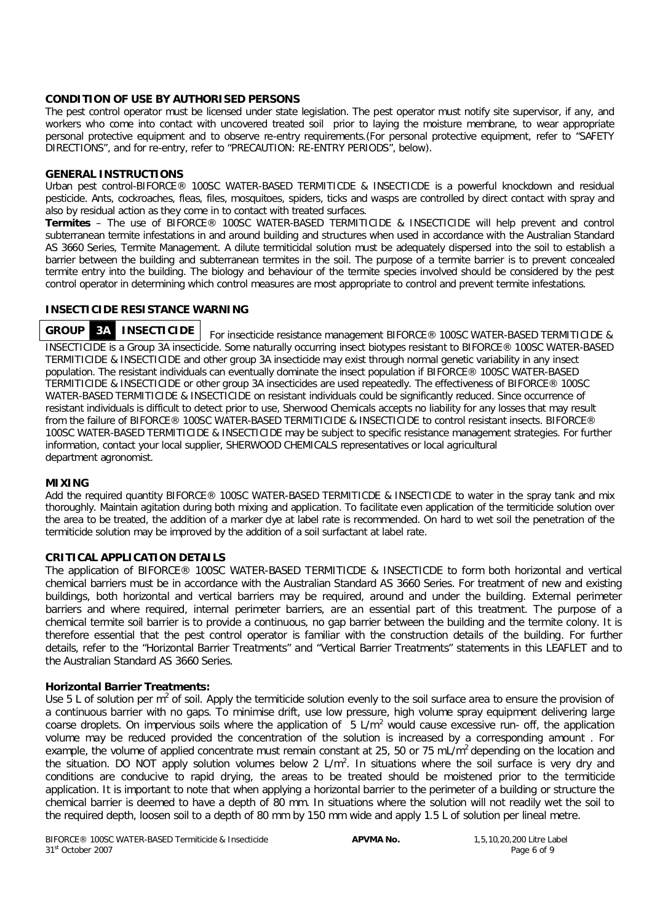## **CONDITION OF USE BY AUTHORISED PERSONS**

The pest control operator must be licensed under state legislation. The pest operator must notify site supervisor, if any, and workers who come into contact with uncovered treated soil prior to laying the moisture membrane, to wear appropriate personal protective equipment and to observe re-entry requirements.(For personal protective equipment, refer to "SAFETY DIRECTIONS", and for re-entry, refer to "PRECAUTION: RE-ENTRY PERIODS", below).

## **GENERAL INSTRUCTIONS**

Urban pest control-BIFORCE® 100SC WATER-BASED TERMITICDE & INSECTICDE is a powerful knockdown and residual pesticide. Ants, cockroaches, fleas, files, mosquitoes, spiders, ticks and wasps are controlled by direct contact with spray and also by residual action as they come in to contact with treated surfaces.

**Termites** – The use of BIFORCE® 100SC WATER-BASED TERMITICIDE & INSECTICIDE will help prevent and control subterranean termite infestations in and around building and structures when used in accordance with the Australian Standard AS 3660 Series, Termite Management. A dilute termiticidal solution must be adequately dispersed into the soil to establish a barrier between the building and subterranean termites in the soil. The purpose of a termite barrier is to prevent concealed termite entry into the building. The biology and behaviour of the termite species involved should be considered by the pest control operator in determining which control measures are most appropriate to control and prevent termite infestations.

## **INSECTICIDE RESISTANCE WARNING**

# **GROUP 3A INSECTICIDE**

For insecticide resistance management BIFORCE® 100SC WATER-BASED TERMITICIDE & INSECTICIDE is a Group 3A insecticide. Some naturally occurring insect biotypes resistant to BIFORCE® 100SC WATER-BASED TERMITICIDE & INSECTICIDE and other group 3A insecticide may exist through normal genetic variability in any insect population. The resistant individuals can eventually dominate the insect population if BIFORCE® 100SC WATER-BASED TERMITICIDE & INSECTICIDE or other group 3A insecticides are used repeatedly. The effectiveness of BIFORCE® 100SC WATER-BASED TERMITICIDE & INSECTICIDE on resistant individuals could be significantly reduced. Since occurrence of resistant individuals is difficult to detect prior to use, Sherwood Chemicals accepts no liability for any losses that may result from the failure of BIFORCE® 100SC WATER-BASED TERMITICIDE & INSECTICIDE to control resistant insects. BIFORCE® 100SC WATER-BASED TERMITICIDE & INSECTICIDE may be subject to specific resistance management strategies. For further information, contact your local supplier, SHERWOOD CHEMICALS representatives or local agricultural department agronomist.

## **MIXING**

Add the required quantity BIFORCE® 100SC WATER-BASED TERMITICDE & INSECTICDE to water in the spray tank and mix thoroughly. Maintain agitation during both mixing and application. To facilitate even application of the termiticide solution over the area to be treated, the addition of a marker dye at label rate is recommended. On hard to wet soil the penetration of the termiticide solution may be improved by the addition of a soil surfactant at label rate.

## **CRITICAL APPLICATION DETAILS**

The application of BIFORCE® 100SC WATER-BASED TERMITICDE & INSECTICDE to form both horizontal and vertical chemical barriers must be in accordance with the Australian Standard AS 3660 Series. For treatment of new and existing buildings, both horizontal and vertical barriers may be required, around and under the building. External perimeter barriers and where required, internal perimeter barriers, are an essential part of this treatment. The purpose of a chemical termite soil barrier is to provide a continuous, no gap barrier between the building and the termite colony. It is therefore essential that the pest control operator is familiar with the construction details of the building. For further details, refer to the "Horizontal Barrier Treatments" and "Vertical Barrier Treatments" statements in this LEAFLET and to the Australian Standard AS 3660 Series.

### **Horizontal Barrier Treatments:**

Use 5 L of solution per m<sup>2</sup> of soil. Apply the termiticide solution evenly to the soil surface area to ensure the provision of a continuous barrier with no gaps. To minimise drift, use low pressure, high volume spray equipment delivering large coarse droplets. On impervious soils where the application of  $5 \text{ L/m}^2$  would cause excessive run- off, the application volume may be reduced provided the concentration of the solution is increased by a corresponding amount . For example, the volume of applied concentrate must remain constant at 25, 50 or 75 mL/m<sup>2</sup> depending on the location and the situation. DO NOT apply solution volumes below 2 L/m<sup>2</sup>. In situations where the soil surface is very dry and conditions are conducive to rapid drying, the areas to be treated should be moistened prior to the termiticide application. It is important to note that when applying a horizontal barrier to the perimeter of a building or structure the chemical barrier is deemed to have a depth of 80 mm. In situations where the solution will not readily wet the soil to the required depth, loosen soil to a depth of 80 mm by 150 mm wide and apply 1.5 L of solution per lineal metre.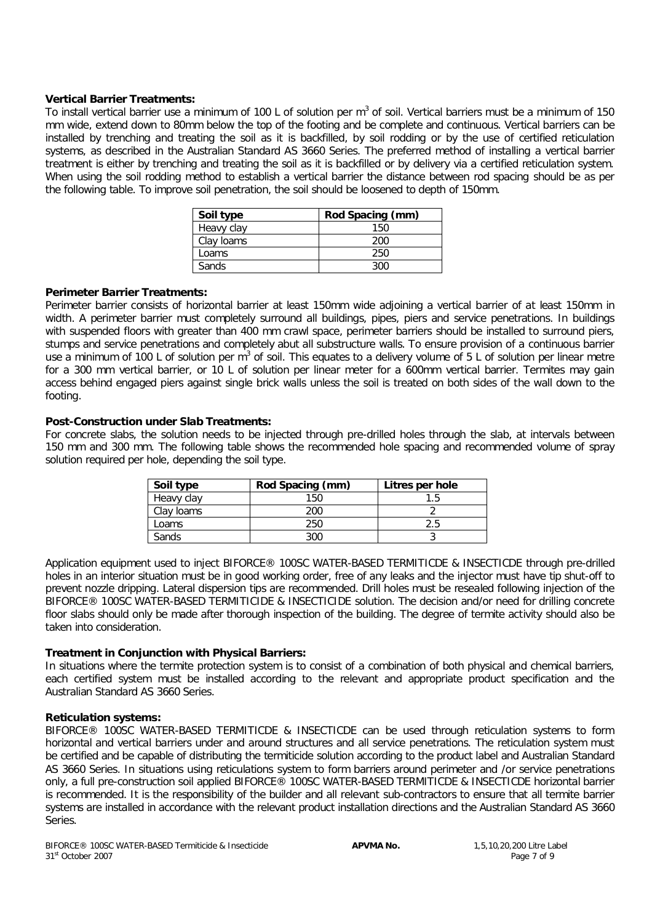## **Vertical Barrier Treatments:**

To install vertical barrier use a minimum of 100 L of solution per m<sup>3</sup> of soil. Vertical barriers must be a minimum of 150 mm wide, extend down to 80mm below the top of the footing and be complete and continuous. Vertical barriers can be installed by trenching and treating the soil as it is backfilled, by soil rodding or by the use of certified reticulation systems, as described in the Australian Standard AS 3660 Series. The preferred method of installing a vertical barrier treatment is either by trenching and treating the soil as it is backfilled or by delivery via a certified reticulation system. When using the soil rodding method to establish a vertical barrier the distance between rod spacing should be as per the following table. To improve soil penetration, the soil should be loosened to depth of 150mm.

| Soil type  | Rod Spacing (mm) |
|------------|------------------|
| Heavy clay | 150              |
| Clay Ioams | 200              |
| Loams      | 250              |
| Sands      | ว∩∩              |

## **Perimeter Barrier Treatments:**

Perimeter barrier consists of horizontal barrier at least 150mm wide adjoining a vertical barrier of at least 150mm in width. A perimeter barrier must completely surround all buildings, pipes, piers and service penetrations. In buildings with suspended floors with greater than 400 mm crawl space, perimeter barriers should be installed to surround piers, stumps and service penetrations and completely abut all substructure walls. To ensure provision of a continuous barrier use a minimum of 100 L of solution per m<sup>3</sup> of soil. This equates to a delivery volume of 5 L of solution per linear metre for a 300 mm vertical barrier, or 10 L of solution per linear meter for a 600mm vertical barrier. Termites may gain access behind engaged piers against single brick walls unless the soil is treated on both sides of the wall down to the footing.

## **Post-Construction under Slab Treatments:**

For concrete slabs, the solution needs to be injected through pre-drilled holes through the slab, at intervals between 150 mm and 300 mm. The following table shows the recommended hole spacing and recommended volume of spray solution required per hole, depending the soil type.

| Soil type  | Rod Spacing (mm) | Litres per hole |
|------------|------------------|-----------------|
| Heavy clay | 150              |                 |
| Clay Ioams | 200              |                 |
| Loams      | 250              | 2.5             |
| Sands      | ว∩∩              |                 |

Application equipment used to inject BIFORCE® 100SC WATER-BASED TERMITICDE & INSECTICDE through pre-drilled holes in an interior situation must be in good working order, free of any leaks and the injector must have tip shut-off to prevent nozzle dripping. Lateral dispersion tips are recommended. Drill holes must be resealed following injection of the BIFORCE® 100SC WATER-BASED TERMITICIDE & INSECTICIDE solution. The decision and/or need for drilling concrete floor slabs should only be made after thorough inspection of the building. The degree of termite activity should also be taken into consideration.

## **Treatment in Conjunction with Physical Barriers:**

In situations where the termite protection system is to consist of a combination of both physical and chemical barriers, each certified system must be installed according to the relevant and appropriate product specification and the Australian Standard AS 3660 Series.

### **Reticulation systems:**

BIFORCE® 100SC WATER-BASED TERMITICDE & INSECTICDE can be used through reticulation systems to form horizontal and vertical barriers under and around structures and all service penetrations. The reticulation system must be certified and be capable of distributing the termiticide solution according to the product label and Australian Standard AS 3660 Series. In situations using reticulations system to form barriers around perimeter and /or service penetrations only, a full pre-construction soil applied BIFORCE® 100SC WATER-BASED TERMITICDE & INSECTICDE horizontal barrier is recommended. It is the responsibility of the builder and all relevant sub-contractors to ensure that all termite barrier systems are installed in accordance with the relevant product installation directions and the Australian Standard AS 3660 Series.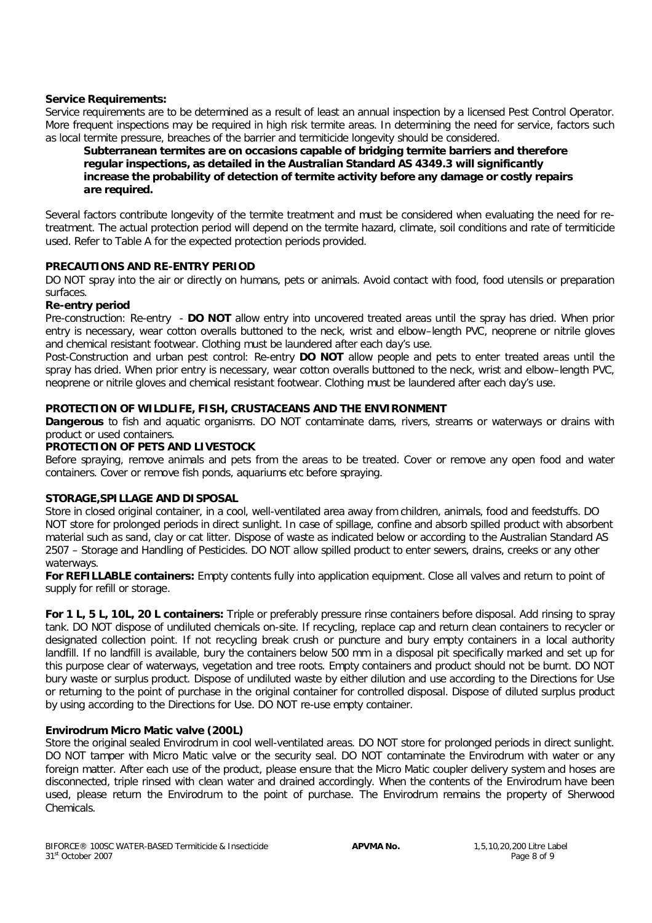## **Service Requirements:**

Service requirements are to be determined as a result of least an annual inspection by a licensed Pest Control Operator. More frequent inspections may be required in high risk termite areas. In determining the need for service, factors such as local termite pressure, breaches of the barrier and termiticide longevity should be considered.

## **Subterranean termites are on occasions capable of bridging termite barriers and therefore regular inspections, as detailed in the Australian Standard AS 4349.3 will significantly increase the probability of detection of termite activity before any damage or costly repairs are required.**

Several factors contribute longevity of the termite treatment and must be considered when evaluating the need for retreatment. The actual protection period will depend on the termite hazard, climate, soil conditions and rate of termiticide used. Refer to Table A for the expected protection periods provided.

## **PRECAUTIONS AND RE-ENTRY PERIOD**

DO NOT spray into the air or directly on humans, pets or animals. Avoid contact with food, food utensils or preparation surfaces.

### **Re-entry period**

*Pre-construction:* Re-entry - **DO NOT** allow entry into uncovered treated areas until the spray has dried. When prior entry is necessary, wear cotton overalls buttoned to the neck, wrist and elbow–length PVC, neoprene or nitrile gloves and chemical resistant footwear. Clothing must be laundered after each day's use.

*Post-Construction and urban pest control:* Re-entry **DO NOT** allow people and pets to enter treated areas until the spray has dried. When prior entry is necessary, wear cotton overalls buttoned to the neck, wrist and elbow–length PVC, neoprene or nitrile gloves and chemical resistant footwear. Clothing must be laundered after each day's use.

## **PROTECTION OF WILDLIFE, FISH, CRUSTACEANS AND THE ENVIRONMENT**

**Dangerous** to fish and aquatic organisms. DO NOT contaminate dams, rivers, streams or waterways or drains with product or used containers.

## **PROTECTION OF PETS AND LIVESTOCK**

Before spraying, remove animals and pets from the areas to be treated. Cover or remove any open food and water containers. Cover or remove fish ponds, aquariums etc before spraying.

### **STORAGE,SPILLAGE AND DISPOSAL**

Store in closed original container, in a cool, well-ventilated area away from children, animals, food and feedstuffs. DO NOT store for prolonged periods in direct sunlight. In case of spillage, confine and absorb spilled product with absorbent material such as sand, clay or cat litter. Dispose of waste as indicated below or according to the Australian Standard AS 2507 – Storage and Handling of Pesticides. DO NOT allow spilled product to enter sewers, drains, creeks or any other waterways.

**For REFILLABLE containers:** Empty contents fully into application equipment. Close all valves and return to point of supply for refill or storage.

**For 1 L, 5 L, 10L, 20 L containers:** Triple or preferably pressure rinse containers before disposal. Add rinsing to spray tank. DO NOT dispose of undiluted chemicals on-site. If recycling, replace cap and return clean containers to recycler or designated collection point. If not recycling break crush or puncture and bury empty containers in a local authority landfill. If no landfill is available, bury the containers below 500 mm in a disposal pit specifically marked and set up for this purpose clear of waterways, vegetation and tree roots. Empty containers and product should not be burnt. DO NOT bury waste or surplus product. Dispose of undiluted waste by either dilution and use according to the Directions for Use or returning to the point of purchase in the original container for controlled disposal. Dispose of diluted surplus product by using according to the Directions for Use. DO NOT re-use empty container.

## **Envirodrum Micro Matic valve (200L)**

Store the original sealed Envirodrum in cool well-ventilated areas. DO NOT store for prolonged periods in direct sunlight. DO NOT tamper with Micro Matic valve or the security seal. DO NOT contaminate the Envirodrum with water or any foreign matter. After each use of the product, please ensure that the Micro Matic coupler delivery system and hoses are disconnected, triple rinsed with clean water and drained accordingly. When the contents of the Envirodrum have been used, please return the Envirodrum to the point of purchase. The Envirodrum remains the property of Sherwood Chemicals.